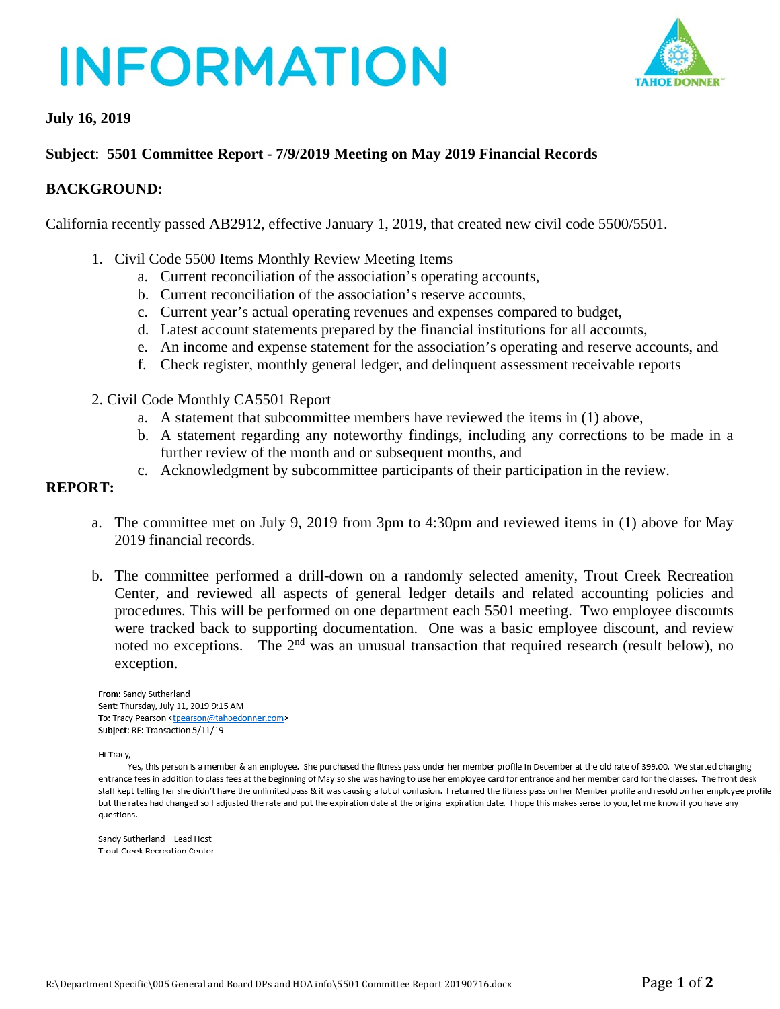# **INFORMATION**



### **July 16, 2019**

### **Subject**: **5501 Committee Report - 7/9/2019 Meeting on May 2019 Financial Records**

### **BACKGROUND:**

California recently passed AB2912, effective January 1, 2019, that created new civil code 5500/5501.

- 1. Civil Code 5500 Items Monthly Review Meeting Items
	- a. Current reconciliation of the association's operating accounts,
	- b. Current reconciliation of the association's reserve accounts,
	- c. Current year's actual operating revenues and expenses compared to budget,
	- d. Latest account statements prepared by the financial institutions for all accounts,
	- e. An income and expense statement for the association's operating and reserve accounts, and
	- f. Check register, monthly general ledger, and delinquent assessment receivable reports
- 2. Civil Code Monthly CA5501 Report
	- a. A statement that subcommittee members have reviewed the items in (1) above,
	- b. A statement regarding any noteworthy findings, including any corrections to be made in a further review of the month and or subsequent months, and
	- c. Acknowledgment by subcommittee participants of their participation in the review.

#### **REPORT:**

- a. The committee met on July 9, 2019 from 3pm to 4:30pm and reviewed items in (1) above for May 2019 financial records.
- b. The committee performed a drill-down on a randomly selected amenity, Trout Creek Recreation Center, and reviewed all aspects of general ledger details and related accounting policies and procedures. This will be performed on one department each 5501 meeting. Two employee discounts were tracked back to supporting documentation. One was a basic employee discount, and review noted no exceptions. The 2<sup>nd</sup> was an unusual transaction that required research (result below), no exception.

From: Sandy Sutherland Sent: Thursday, July 11, 2019 9:15 AM To: Tracy Pearson <tpearson@tahoedonner.com> Subject: RE: Transaction 5/11/19

Hi Tracy,

Yes, this person is a member & an employee. She purchased the fitness pass under her member profile in December at the old rate of 399.00. We started charging entrance fees in addition to class fees at the beginning of May so she was having to use her employee card for entrance and her member card for the classes. The front desk staff kept telling her she didn't have the unlimited pass & it was causing a lot of confusion. I returned the fitness pass on her Member profile and resold on her employee profile but the rates had changed so I adjusted the rate and put the expiration date at the original expiration date. I hope this makes sense to you, let me know if you have any questions.

Sandy Sutherland - Lead Host Trout Creek Recreation Center